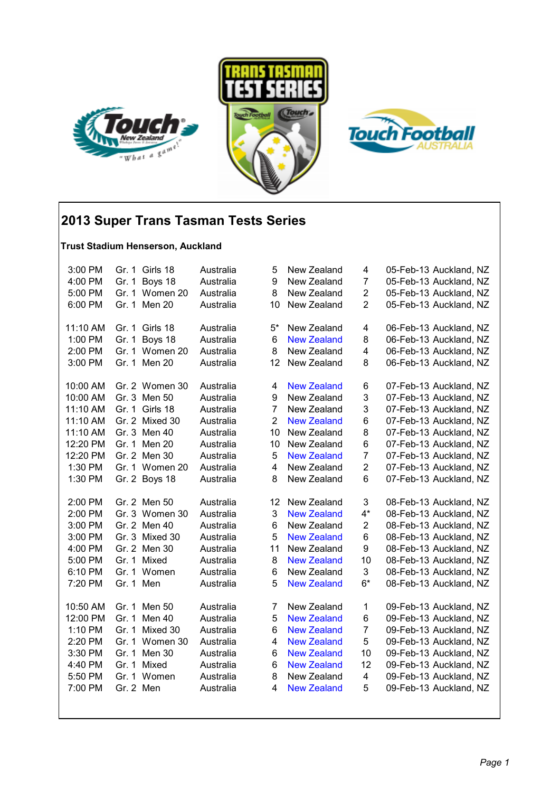





## **2013 Super Trans Tasman Tests Series**

#### **Trust Stadium Henserson, Auckland**

| 3:00 PM            |           | Gr. 1 Girls 18             | Australia | 5              | New Zealand                       | 4                             | 05-Feb-13 Auckland, NZ                           |
|--------------------|-----------|----------------------------|-----------|----------------|-----------------------------------|-------------------------------|--------------------------------------------------|
| 4:00 PM            |           | Gr. 1 Boys 18              | Australia | 9              | New Zealand                       | $\overline{7}$                | 05-Feb-13 Auckland, NZ                           |
| 5:00 PM            |           | Gr. 1 Women 20             | Australia | 8              | New Zealand                       | $\overline{c}$                | 05-Feb-13 Auckland, NZ                           |
| 6:00 PM            |           | Gr. 1 Men 20               | Australia | 10             | New Zealand                       | $\overline{c}$                | 05-Feb-13 Auckland, NZ                           |
| 11:10 AM           |           | Gr. 1 Girls 18             | Australia | $5^*$          | New Zealand                       | 4                             | 06-Feb-13 Auckland, NZ                           |
| 1:00 PM            |           | Gr. 1 Boys 18              | Australia | 6              | <b>New Zealand</b>                | 8                             | 06-Feb-13 Auckland, NZ                           |
| 2:00 PM            |           | Gr. 1 Women 20             | Australia | 8              | New Zealand                       | 4                             | 06-Feb-13 Auckland, NZ                           |
| 3:00 PM            |           | Gr. 1 Men 20               | Australia | 12             | New Zealand                       | 8                             | 06-Feb-13 Auckland, NZ                           |
|                    |           |                            |           |                |                                   |                               |                                                  |
| 10:00 AM           |           | Gr. 2 Women 30             | Australia | 4              | <b>New Zealand</b>                | 6                             | 07-Feb-13 Auckland, NZ                           |
| 10:00 AM           |           | Gr. 3 Men 50               | Australia | 9              | New Zealand                       | 3                             | 07-Feb-13 Auckland, NZ                           |
| 11:10 AM           |           | Gr. 1 Girls 18             | Australia | $\overline{7}$ | New Zealand                       | 3                             | 07-Feb-13 Auckland, NZ                           |
| 11:10 AM           |           | Gr. 2 Mixed 30             | Australia | $\overline{2}$ | <b>New Zealand</b>                | 6                             | 07-Feb-13 Auckland, NZ                           |
| 11:10 AM           |           | Gr. 3 Men 40               | Australia | 10             | New Zealand                       | 8                             | 07-Feb-13 Auckland, NZ                           |
| 12:20 PM           |           | Gr. 1 Men 20               | Australia | 10             | New Zealand                       | 6                             | 07-Feb-13 Auckland, NZ                           |
| 12:20 PM           |           | Gr. 2 Men 30               | Australia | 5              | <b>New Zealand</b>                | 7                             | 07-Feb-13 Auckland, NZ                           |
| 1:30 PM            |           | Gr. 1 Women 20             | Australia | 4              | New Zealand                       | $\overline{c}$                | 07-Feb-13 Auckland, NZ                           |
| 1:30 PM            |           | Gr. 2 Boys 18              | Australia | 8              | New Zealand                       | 6                             | 07-Feb-13 Auckland, NZ                           |
| 2:00 PM            |           | Gr. 2 Men 50               | Australia | 12             | New Zealand                       | 3                             | 08-Feb-13 Auckland, NZ                           |
| 2:00 PM            |           | Gr. 3 Women 30             | Australia | 3              | <b>New Zealand</b>                | $4^*$                         | 08-Feb-13 Auckland, NZ                           |
| 3:00 PM            |           | Gr. 2 Men 40               | Australia | 6              | New Zealand                       | 2                             | 08-Feb-13 Auckland, NZ                           |
| 3:00 PM            |           | Gr. 3 Mixed 30             | Australia | 5              | <b>New Zealand</b>                | 6                             | 08-Feb-13 Auckland, NZ                           |
| 4:00 PM            |           | Gr. 2 Men 30               | Australia | 11             | New Zealand                       | 9                             | 08-Feb-13 Auckland, NZ                           |
| 5:00 PM            | Gr. 1     | Mixed                      | Australia | 8              | <b>New Zealand</b>                | 10                            | 08-Feb-13 Auckland, NZ                           |
| 6:10 PM            |           | Gr. 1 Women                | Australia | 6              | New Zealand                       | 3                             | 08-Feb-13 Auckland, NZ                           |
| 7:20 PM            | Gr. 1 Men |                            | Australia | 5              | <b>New Zealand</b>                | $6*$                          | 08-Feb-13 Auckland, NZ                           |
| 10:50 AM           |           | Gr. 1 Men 50               | Australia | 7              | New Zealand                       | 1                             | 09-Feb-13 Auckland, NZ                           |
| 12:00 PM           |           | Gr. 1 Men 40               | Australia | 5              | <b>New Zealand</b>                | 6                             | 09-Feb-13 Auckland, NZ                           |
| 1:10 PM            |           | Gr. 1 Mixed 30             |           | 6              | <b>New Zealand</b>                | $\overline{7}$                |                                                  |
| 2:20 PM            |           | Gr. 1 Women 30             | Australia | 4              | <b>New Zealand</b>                | 5                             | 09-Feb-13 Auckland, NZ<br>09-Feb-13 Auckland, NZ |
|                    |           | Gr. 1 Men 30               | Australia |                | <b>New Zealand</b>                |                               |                                                  |
| 3:30 PM            |           |                            | Australia | 6              |                                   | 10                            | 09-Feb-13 Auckland, NZ                           |
| 4:40 PM<br>5:50 PM |           | Gr. 1 Mixed<br>Gr. 1 Women | Australia | 6<br>8         | <b>New Zealand</b><br>New Zealand | 12<br>$\overline{\mathbf{4}}$ | 09-Feb-13 Auckland, NZ<br>09-Feb-13 Auckland, NZ |
| 7:00 PM            | Gr. 2 Men |                            | Australia |                | <b>New Zealand</b>                | 5                             |                                                  |
|                    |           |                            | Australia | 4              |                                   |                               | 09-Feb-13 Auckland, NZ                           |
|                    |           |                            |           |                |                                   |                               |                                                  |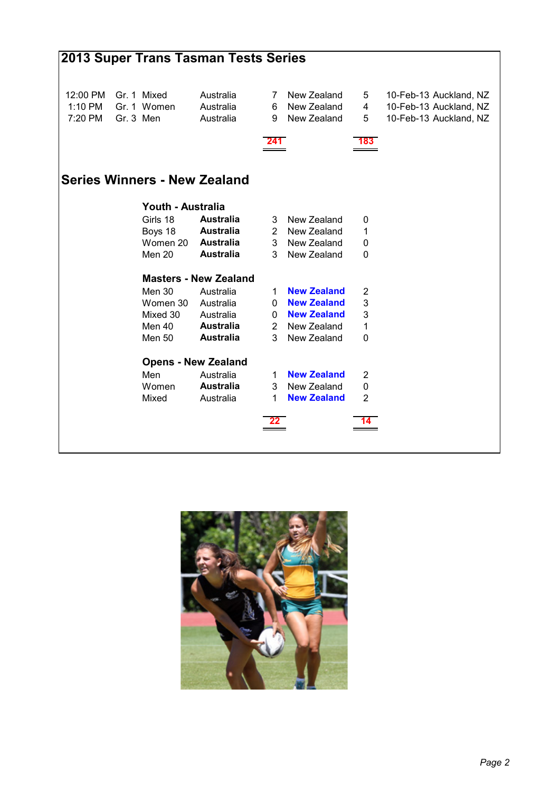|          |                   | 2013 Super Trans Tasman Tests Series |                |                    |                |                        |
|----------|-------------------|--------------------------------------|----------------|--------------------|----------------|------------------------|
| 12:00 PM | Gr. 1 Mixed       | Australia                            | 7              | New Zealand        | 5              | 10-Feb-13 Auckland, NZ |
| 1:10 PM  | Gr. 1 Women       | Australia                            | 6              | New Zealand        | 4              | 10-Feb-13 Auckland, NZ |
| 7:20 PM  | Gr. 3 Men         | Australia                            | 9              | New Zealand        | 5              | 10-Feb-13 Auckland, NZ |
|          |                   |                                      | 241            |                    | 183.           |                        |
|          |                   | <b>Series Winners - New Zealand</b>  |                |                    |                |                        |
|          | Youth - Australia |                                      |                |                    |                |                        |
|          | Girls 18          | <b>Australia</b>                     | 3              | New Zealand        | 0              |                        |
|          | Boys 18           | <b>Australia</b>                     |                | 2 New Zealand      | 1              |                        |
|          | Women 20          | <b>Australia</b>                     | 3 <sup>1</sup> | New Zealand        | 0              |                        |
|          | Men 20            | <b>Australia</b>                     | 3              | New Zealand        | 0              |                        |
|          |                   | <b>Masters - New Zealand</b>         |                |                    |                |                        |
|          | Men 30            | Australia                            | 1.             | <b>New Zealand</b> | 2              |                        |
|          | Women 30          | Australia                            | 0              | <b>New Zealand</b> | 3              |                        |
|          | Mixed 30          | Australia                            |                | 0 New Zealand      | 3              |                        |
|          | Men 40            | <b>Australia</b>                     |                | 2 New Zealand      | 1              |                        |
|          | <b>Men 50</b>     | <b>Australia</b>                     | 3              | New Zealand        | 0              |                        |
|          |                   | <b>Opens - New Zealand</b>           |                |                    |                |                        |
|          | Men               | Australia                            | 1.             | <b>New Zealand</b> | 2              |                        |
|          | Women             | <b>Australia</b>                     | 3 <sup>1</sup> | New Zealand        | $\mathbf 0$    |                        |
|          | Mixed             | Australia                            | $\mathbf 1$    | <b>New Zealand</b> | $\overline{2}$ |                        |
|          |                   |                                      |                |                    |                |                        |
|          |                   |                                      |                |                    |                |                        |
|          |                   |                                      |                |                    |                |                        |

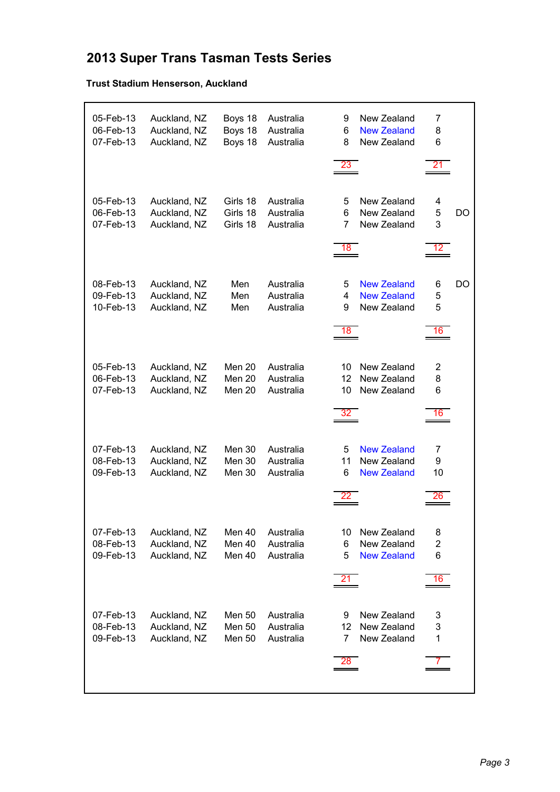# **2013 Super Trans Tasman Tests Series**

#### **Trust Stadium Henserson, Auckland**

| 05-Feb-13<br>06-Feb-13<br>07-Feb-13 | Auckland, NZ<br>Auckland, NZ<br>Auckland, NZ | Boys 18<br>Boys 18<br>Boys 18            | Australia<br>Australia<br>Australia | New Zealand<br>9<br><b>New Zealand</b><br>6<br>New Zealand<br>8<br>23          | 7<br>8<br>6<br>21              |
|-------------------------------------|----------------------------------------------|------------------------------------------|-------------------------------------|--------------------------------------------------------------------------------|--------------------------------|
| 05-Feb-13<br>06-Feb-13<br>07-Feb-13 | Auckland, NZ<br>Auckland, NZ<br>Auckland, NZ | Girls 18<br>Girls 18<br>Girls 18         | Australia<br>Australia<br>Australia | New Zealand<br>5<br>6<br>New Zealand<br>$\overline{7}$<br>New Zealand<br>18    | 4<br>5<br>DO<br>3<br>12        |
| 08-Feb-13<br>09-Feb-13<br>10-Feb-13 | Auckland, NZ<br>Auckland, NZ<br>Auckland, NZ | Men<br>Men<br>Men                        | Australia<br>Australia<br>Australia | <b>New Zealand</b><br>5<br><b>New Zealand</b><br>4<br>9<br>New Zealand<br>18   | DO<br>6<br>5<br>5<br>16        |
| 05-Feb-13<br>06-Feb-13<br>07-Feb-13 | Auckland, NZ<br>Auckland, NZ<br>Auckland, NZ | Men 20<br>Men 20<br>Men 20               | Australia<br>Australia<br>Australia | New Zealand<br>10<br>New Zealand<br>12 <sup>2</sup><br>New Zealand<br>10<br>32 | $\overline{2}$<br>8<br>6<br>16 |
| 07-Feb-13<br>08-Feb-13<br>09-Feb-13 | Auckland, NZ<br>Auckland, NZ<br>Auckland, NZ | <b>Men 30</b><br>Men 30<br>Men 30        | Australia<br>Australia<br>Australia | <b>New Zealand</b><br>5<br>11<br>New Zealand<br>6<br><b>New Zealand</b>        | 7<br>9<br>10<br>26             |
| 07-Feb-13<br>08-Feb-13<br>09-Feb-13 | Auckland, NZ<br>Auckland, NZ<br>Auckland, NZ | Men 40<br>Men 40<br>Men 40               | Australia<br>Australia<br>Australia | New Zealand<br>10<br>New Zealand<br>6<br>5<br><b>New Zealand</b><br>21         | 8<br>2<br>6<br>16              |
| 07-Feb-13<br>08-Feb-13<br>09-Feb-13 | Auckland, NZ<br>Auckland, NZ<br>Auckland, NZ | Men 50<br><b>Men 50</b><br><b>Men 50</b> | Australia<br>Australia<br>Australia | New Zealand<br>9<br>New Zealand<br>12<br>New Zealand<br>7<br>28                | 3<br>3<br>1                    |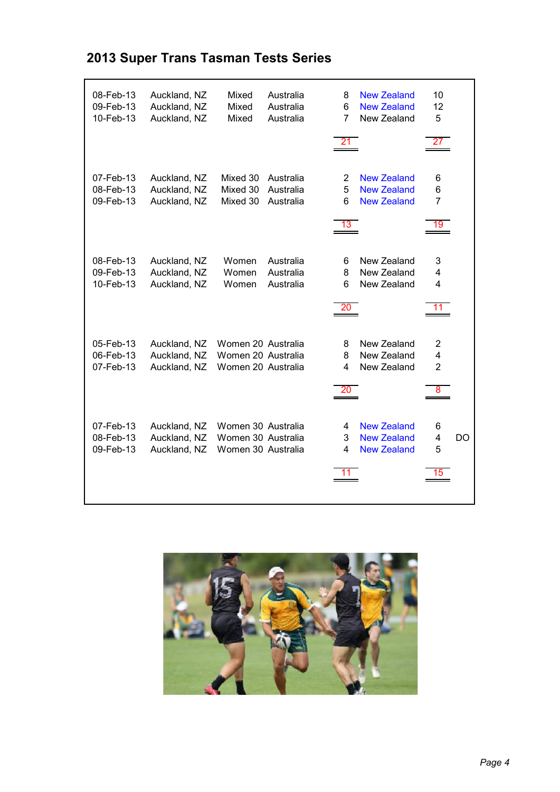| <b>2013 Super Trans Tasman Tests Series</b> |  |  |  |  |
|---------------------------------------------|--|--|--|--|
|---------------------------------------------|--|--|--|--|

| 08-Feb-13<br>09-Feb-13<br>10-Feb-13 | Auckland, NZ<br>Auckland, NZ<br>Auckland, NZ | Mixed<br>Mixed<br>Mixed                                        | Australia<br>Australia<br>Australia | 8<br>6<br>7       | <b>New Zealand</b><br><b>New Zealand</b><br>New Zealand        | 10<br>12<br>5                  |           |
|-------------------------------------|----------------------------------------------|----------------------------------------------------------------|-------------------------------------|-------------------|----------------------------------------------------------------|--------------------------------|-----------|
|                                     |                                              |                                                                |                                     | 21                |                                                                | 27                             |           |
| 07-Feb-13<br>08-Feb-13<br>09-Feb-13 | Auckland, NZ<br>Auckland, NZ<br>Auckland, NZ | Mixed 30<br>Mixed 30<br>Mixed 30                               | Australia<br>Australia<br>Australia | 2<br>5<br>6<br>13 | <b>New Zealand</b><br><b>New Zealand</b><br><b>New Zealand</b> | 6<br>6<br>$\overline{7}$<br>19 |           |
| 08-Feb-13<br>09-Feb-13<br>10-Feb-13 | Auckland, NZ<br>Auckland, NZ<br>Auckland, NZ | Women<br>Women<br>Women                                        | Australia<br>Australia<br>Australia | 6<br>8<br>6<br>20 | New Zealand<br>New Zealand<br>New Zealand                      | 3<br>4<br>4<br>11              |           |
| 05-Feb-13<br>06-Feb-13<br>07-Feb-13 | Auckland, NZ<br>Auckland, NZ<br>Auckland, NZ | Women 20 Australia<br>Women 20 Australia<br>Women 20 Australia |                                     | 8<br>8<br>4<br>20 | New Zealand<br>New Zealand<br>New Zealand                      | 2<br>4<br>$\overline{2}$<br>8  |           |
| 07-Feb-13<br>08-Feb-13<br>09-Feb-13 | Auckland, NZ<br>Auckland, NZ<br>Auckland, NZ | Women 30 Australia<br>Women 30 Australia<br>Women 30 Australia |                                     | 4<br>3<br>4       | <b>New Zealand</b><br><b>New Zealand</b><br><b>New Zealand</b> | 6<br>4<br>5<br>15              | <b>DO</b> |

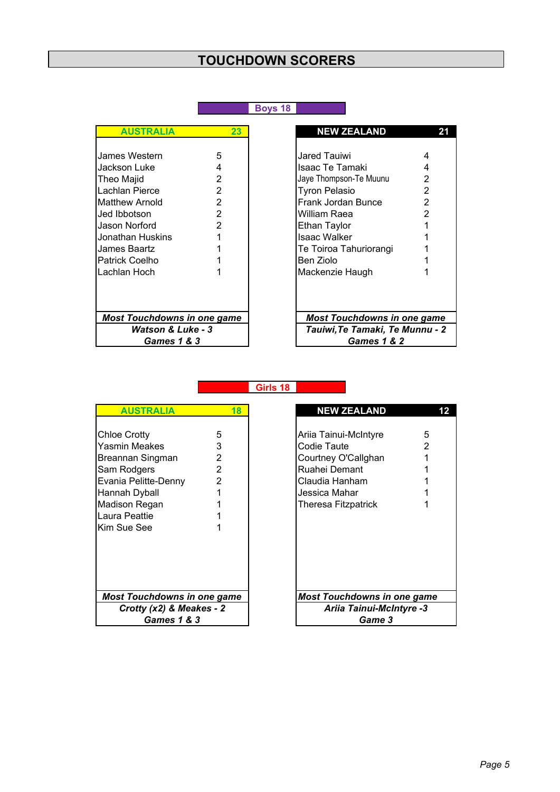#### **Boys 18**

| <b>AUSTRALIA</b>                   | 23             | <b>NEW ZEALAND</b>                       |
|------------------------------------|----------------|------------------------------------------|
|                                    |                |                                          |
| James Western                      | 5              | Jared Tauiwi<br>4                        |
| Jackson Luke                       | 4              | 4<br>Isaac Te Tamaki                     |
| Theo Majid                         | 2              | $\overline{2}$<br>Jaye Thompson-Te Muunu |
| Lachlan Pierce                     | $\overline{2}$ | $\overline{a}$<br><b>Tyron Pelasio</b>   |
| <b>Matthew Arnold</b>              | $\overline{2}$ | $\overline{2}$<br>Frank Jordan Bunce     |
| Jed Ibbotson                       | $\overline{2}$ | $\overline{2}$<br>William Raea           |
| Jason Norford                      | $\overline{2}$ | <b>Ethan Taylor</b>                      |
| Jonathan Huskins                   |                | <b>Isaac Walker</b>                      |
| James Baartz                       |                | Te Toiroa Tahuriorangi                   |
| <b>Patrick Coelho</b>              |                | Ben Ziolo                                |
| Lachlan Hoch                       |                | Mackenzie Haugh                          |
|                                    |                |                                          |
| <b>Most Touchdowns in one game</b> |                | <b>Most Touchdowns in one ga</b>         |
| <b>Watson &amp; Luke - 3</b>       |                | Tauiwi, Te Tamaki, Te Munni              |
| <b>Games 1 &amp; 3</b>             |                | <b>Games 1 &amp; 2</b>                   |

| <b>AUSTRALIA</b>                                                                                            | 23                                                                                  | <b>NEW ZEALAND</b>                                                                                                                             | 21                                                   |
|-------------------------------------------------------------------------------------------------------------|-------------------------------------------------------------------------------------|------------------------------------------------------------------------------------------------------------------------------------------------|------------------------------------------------------|
| ames Western<br>ackson Luke<br>heo Majid<br>achlan Pierce.<br>Aatthew Arnold<br>ed Ibbotson<br>ason Norford | 5<br>4<br>2<br>$\overline{2}$<br>$\overline{2}$<br>$\overline{2}$<br>$\overline{2}$ | Jared Tauiwi<br>Isaac Te Tamaki<br>Jaye Thompson-Te Muunu<br><b>Tyron Pelasio</b><br>Frank Jordan Bunce<br>William Raea<br><b>Ethan Taylor</b> | 4<br>4<br>2<br>2<br>$\overline{2}$<br>$\mathfrak{p}$ |
| onathan Huskins<br>ames Baartz<br><sup>9</sup> atrick Coelho<br>achlan Hoch.                                | 1                                                                                   | <b>Isaac Walker</b><br>Te Toiroa Tahuriorangi<br>Ben Ziolo<br>Mackenzie Haugh                                                                  |                                                      |
| Most Touchdowns in one game<br><b>Watson &amp; Luke - 3</b><br>Games 1 & 3                                  |                                                                                     | <b>Most Touchdowns in one game</b><br>Tauiwi, Te Tamaki, Te Munnu - 2<br><b>Games 1 &amp; 2</b>                                                |                                                      |

**Girls 18**

| <b>AUSTRALIA</b>                                                                                                                                                  | 18                                              | <b>NEW ZEALAND</b>                                                                                                                                      |
|-------------------------------------------------------------------------------------------------------------------------------------------------------------------|-------------------------------------------------|---------------------------------------------------------------------------------------------------------------------------------------------------------|
| <b>Chloe Crotty</b><br>Yasmin Meakes<br>Breannan Singman<br>Sam Rodgers<br>Evania Pelitte-Denny<br>Hannah Dyball<br>Madison Regan<br>Laura Peattie<br>Kim Sue See | 5<br>3<br>2<br>$\overline{2}$<br>$\overline{2}$ | 5<br>Ariia Tainui-McIntyre<br>2<br>Codie Taute<br>Courtney O'Callghan<br>Ruahei Demant<br>Claudia Hanham<br>Jessica Mahar<br><b>Theresa Fitzpatrick</b> |
| <b>Most Touchdowns in one game</b>                                                                                                                                |                                                 | Most Touchdowns in one gan                                                                                                                              |
| Crotty $(x2)$ & Meakes - 2                                                                                                                                        |                                                 | Ariia Tainui-McIntyre -3                                                                                                                                |
| <b>Games 1 &amp; 3</b>                                                                                                                                            |                                                 | <b>Game 3</b>                                                                                                                                           |
|                                                                                                                                                                   |                                                 |                                                                                                                                                         |

| <b>AUSTRALIA</b>         | 18             | <b>NEW ZEALAND</b>                 |                                 |
|--------------------------|----------------|------------------------------------|---------------------------------|
|                          |                |                                    |                                 |
| : Crottv                 | 5              | Ariia Tainui-McIntyre              | 5                               |
| in Meakes                | 3              | Codie Taute                        | 2                               |
| inan Singman             | 2              | Courtney O'Callghan                |                                 |
| Rodgers                  | $\overline{2}$ | Ruahei Demant                      |                                 |
| a Pelitte-Denny          | $\overline{2}$ | Claudia Hanham                     |                                 |
| ah Dyball                |                | Jessica Mahar                      |                                 |
| son Regan                |                | <b>Theresa Fitzpatrick</b>         |                                 |
| ∟Peattie                 |                |                                    |                                 |
| նսe See                  |                |                                    |                                 |
|                          |                |                                    |                                 |
|                          |                |                                    |                                 |
|                          |                |                                    |                                 |
|                          |                |                                    |                                 |
|                          |                |                                    |                                 |
| t Touchdowns in one game |                | <b>Most Touchdowns in one game</b> |                                 |
| Crotty (x2) & Meakes - 2 |                |                                    | <b>Ariia Tainui-McIntyre -3</b> |
| <b>Games 1 &amp; 3</b>   |                |                                    | <b>Game 3</b>                   |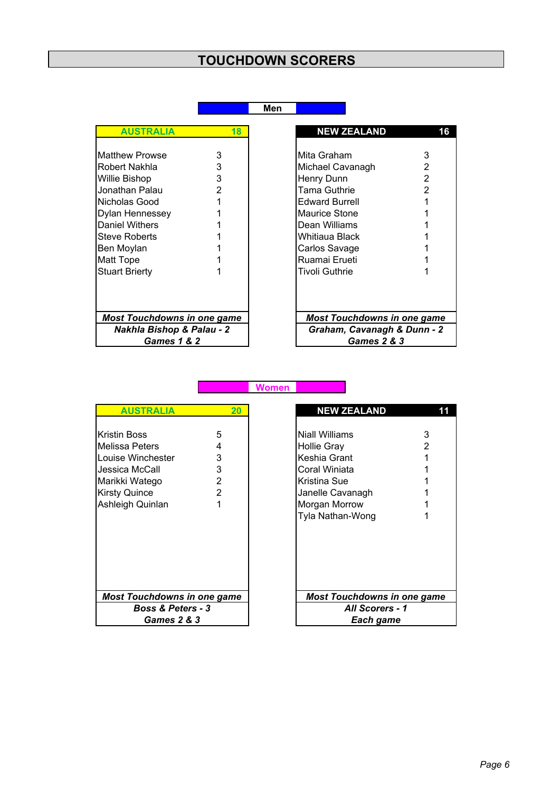| ×<br>٧ |
|--------|
|--------|

**Women**

| <b>AUSTRALIA</b>                     | 18            | <b>NEW ZEALAND</b>                 | 16             |
|--------------------------------------|---------------|------------------------------------|----------------|
|                                      |               |                                    |                |
| <b>Matthew Prowse</b>                | 3             | Mita Graham                        | 3              |
| Robert Nakhla                        | 3             | Michael Cavanagh                   | 2              |
| Willie Bishop                        | 3             | Henry Dunn                         | 2              |
| Jonathan Palau                       | $\mathcal{P}$ | <b>Tama Guthrie</b>                | $\mathfrak{p}$ |
| Nicholas Good                        | 1             | <b>Edward Burrell</b>              |                |
| Dylan Hennessey                      |               | Maurice Stone                      |                |
| Daniel Withers                       |               | Dean Williams                      |                |
| <b>Steve Roberts</b>                 |               | Whitiaua Black                     |                |
| Ben Moylan                           |               | Carlos Savage                      |                |
| <b>Matt Tope</b>                     |               | Ruamai Erueti                      |                |
| <b>Stuart Brierty</b>                |               | <b>Tivoli Guthrie</b>              |                |
|                                      |               |                                    |                |
| <b>Most Touchdowns in one game</b>   |               | <b>Most Touchdowns in one game</b> |                |
| <b>Nakhla Bishop &amp; Palau - 2</b> |               | Graham, Cavanagh & Dunn - 2        |                |
| <b>Games 1 &amp; 2</b>               |               | <b>Games 2 &amp; 3</b>             |                |

| <b>NEW ZEALAND</b>                 | 6 |  |  |  |  |
|------------------------------------|---|--|--|--|--|
|                                    |   |  |  |  |  |
| Mita Graham                        | 3 |  |  |  |  |
| Michael Cavanagh                   | 2 |  |  |  |  |
| Henry Dunn                         | 2 |  |  |  |  |
| Tama Guthrie                       | 2 |  |  |  |  |
| <b>Edward Burrell</b>              | 1 |  |  |  |  |
| Maurice Stone                      | 1 |  |  |  |  |
| Dean Williams                      |   |  |  |  |  |
| Whitiaua Black                     |   |  |  |  |  |
| Carlos Savage                      | 1 |  |  |  |  |
| Ruamai Erueti                      | 1 |  |  |  |  |
| Tivoli Guthrie                     | 1 |  |  |  |  |
|                                    |   |  |  |  |  |
|                                    |   |  |  |  |  |
|                                    |   |  |  |  |  |
| <b>Most Touchdowns in one game</b> |   |  |  |  |  |
| Graham, Cavanagh & Dunn - 2        |   |  |  |  |  |
| <b>Games 2 &amp; 3</b>             |   |  |  |  |  |

| <b>AUSTRALIA</b>                                                                                                                    | 20                              | <b>NEW ZEALAND</b>                                                                                                                             |        |
|-------------------------------------------------------------------------------------------------------------------------------------|---------------------------------|------------------------------------------------------------------------------------------------------------------------------------------------|--------|
| Kristin Boss<br>Melissa Peters<br>Louise Winchester<br>Jessica McCall<br>Marikki Watego<br><b>Kirsty Quince</b><br>Ashleigh Quinlan | 5<br>4<br>3<br>3<br>2<br>2<br>1 | Niall Williams<br><b>Hollie Gray</b><br>Keshia Grant<br>Coral Winiata<br>Kristina Sue<br>Janelle Cavanagh<br>Morgan Morrow<br>Tyla Nathan-Wong | 3<br>2 |
| <b>Most Touchdowns in one game</b>                                                                                                  |                                 | Most Touchdowns in one ga                                                                                                                      |        |
| <b>Boss &amp; Peters - 3</b>                                                                                                        |                                 | All Scorers - 1                                                                                                                                |        |
| <b>Games 2 &amp; 3</b>                                                                                                              |                                 | Each game                                                                                                                                      |        |
|                                                                                                                                     |                                 |                                                                                                                                                |        |

| <b>AUSTRALIA</b>                                                                                                          | 20 <sub>2</sub>            |  | <b>NEW ZEALAND</b>                                                                                                                             | 11     |
|---------------------------------------------------------------------------------------------------------------------------|----------------------------|--|------------------------------------------------------------------------------------------------------------------------------------------------|--------|
| ristin Boss)<br>lelissa Peters<br>ouise Winchester.<br>essica McCall<br>larikki Watego<br>irsty Quince<br>shleigh Quinlan | 5<br>4<br>3<br>3<br>2<br>2 |  | Niall Williams<br><b>Hollie Gray</b><br>Keshia Grant<br>Coral Winiata<br>Kristina Sue<br>Janelle Cavanagh<br>Morgan Morrow<br>Tyla Nathan-Wong | 3<br>2 |
| <b>Most Touchdowns in one game</b>                                                                                        |                            |  | <b>Most Touchdowns in one game</b>                                                                                                             |        |
| <b>Boss &amp; Peters - 3</b>                                                                                              |                            |  | <b>All Scorers - 1</b>                                                                                                                         |        |
|                                                                                                                           | Games $2 & 3$              |  | Each game                                                                                                                                      |        |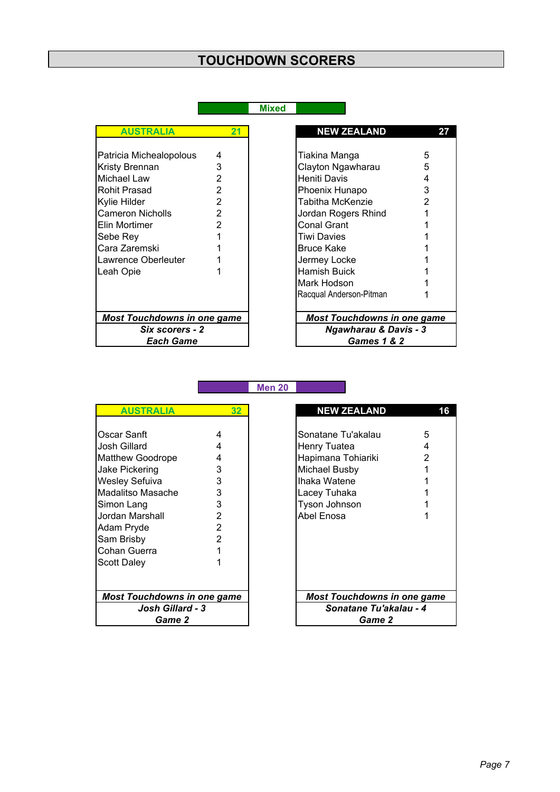| <b>AUSTRALIA</b>                   | 21 | <b>NEW ZEALAND</b>                 |   |
|------------------------------------|----|------------------------------------|---|
| Patricia Michealopolous            | 4  | Tiakina Manga                      | 5 |
| Kristy Brennan                     | 3  | Clayton Ngawharau                  | 5 |
| Michael Law                        | 2  | Heniti Davis                       | 4 |
| Rohit Prasad                       | 2  | Phoenix Hunapo                     | 3 |
| Kylie Hilder                       | 2  | Tabitha McKenzie                   |   |
| <b>Cameron Nicholls</b>            | 2  | Jordan Rogers Rhind                |   |
| Elin Mortimer                      | 2  | Conal Grant                        |   |
| Sebe Rey                           |    | Tiwi Davies                        |   |
| Cara Zaremski                      |    | <b>Bruce Kake</b>                  |   |
| Lawrence Oberleuter                |    | Jermey Locke                       |   |
| Leah Opie                          |    | Hamish Buick                       |   |
|                                    |    | Mark Hodson                        |   |
|                                    |    | Racqual Anderson-Pitman            |   |
| <b>Most Touchdowns in one game</b> |    | <b>Most Touchdowns in one game</b> |   |
| Six scorers - 2                    |    | <b>Ngawharau &amp; Davis - 3</b>   |   |
| <b>Each Game</b>                   |    | <b>Games 1 &amp; 2</b>             |   |

**Men 20**

| <b>AUSTRALIA</b>                   | 32             | <b>NEW ZEALAND</b>                 |   |
|------------------------------------|----------------|------------------------------------|---|
|                                    |                |                                    |   |
| Oscar Sanft                        | 4              | Sonatane Tu'akalau                 | 5 |
| Josh Gillard                       | 4              | Henry Tuatea                       | 4 |
| <b>Matthew Goodrope</b>            | 4              | Hapimana Tohiariki                 | 2 |
| Jake Pickering                     | 3              | Michael Busby                      |   |
| <b>Wesley Sefuiva</b>              | 3              | Ihaka Watene                       |   |
| Madalitso Masache                  | 3              | Lacey Tuhaka                       |   |
| Simon Lang                         | 3              | Tyson Johnson                      |   |
| Jordan Marshall                    | $\overline{2}$ | Abel Enosa                         |   |
| Adam Pryde                         | 2              |                                    |   |
| Sam Brisby                         | $\overline{2}$ |                                    |   |
| Cohan Guerra                       |                |                                    |   |
| <b>Scott Daley</b>                 |                |                                    |   |
|                                    |                |                                    |   |
| <b>Most Touchdowns in one game</b> |                | <b>Most Touchdowns in one game</b> |   |
| <b>Josh Gillard - 3</b>            |                | Sonatane Tu'akalau - 4             |   |
| Game 2                             |                | Game 2                             |   |

| <b>AUSTRALIA</b>         | 32             | <b>NEW ZEALAND</b>                 | 16 |
|--------------------------|----------------|------------------------------------|----|
|                          |                |                                    |    |
| r Sanft                  | 4              | Sonatane Tu'akalau                 | 5  |
| Gillard                  | 4              | Henry Tuatea                       | 4  |
| ew Goodrope              | 4              | Hapimana Tohiariki                 | 2  |
| Pickering                | 3              | Michael Busby                      |    |
| ey Sefuiva               | 3              | Ihaka Watene                       |    |
| litso Masache            | 3              | Lacey Tuhaka                       |    |
| า Lang                   | 3              | Tyson Johnson                      |    |
| n Marshall               | 2              | Abel Enosa                         |    |
| ı Pryde                  | $\overline{2}$ |                                    |    |
| Brisby                   | 2              |                                    |    |
| n Guerra                 |                |                                    |    |
| Daley                    |                |                                    |    |
|                          |                |                                    |    |
|                          |                |                                    |    |
| t Touchdowns in one game |                | <b>Most Touchdowns in one game</b> |    |
| Josh Gillard - 3         |                | Sonatane Tu'akalau - 4             |    |
| Game 2                   |                | Game 2                             |    |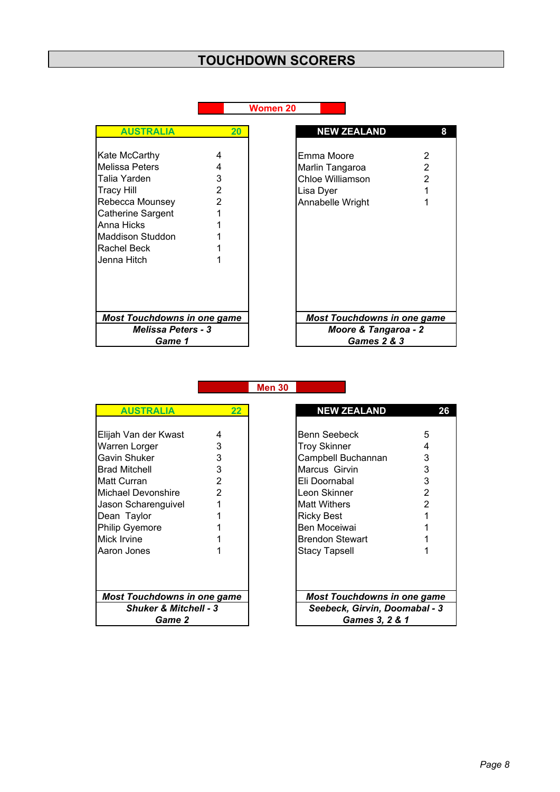|                                                                                                                                                                      |                       | Women 20                                                                                          |
|----------------------------------------------------------------------------------------------------------------------------------------------------------------------|-----------------------|---------------------------------------------------------------------------------------------------|
| <b>AUSTRALIA</b>                                                                                                                                                     | 20                    | <b>NEW ZEALAND</b><br>8                                                                           |
| Kate McCarthy<br>Melissa Peters<br>Talia Yarden<br><b>Tracy Hill</b><br>Rebecca Mounsey<br>Catherine Sargent<br>Anna Hicks<br><b>Maddison Studdon</b><br>Rachel Beck | 4<br>4<br>3<br>2<br>2 | Emma Moore<br>2<br>2<br>Marlin Tangaroa<br>Chloe Williamson<br>2<br>Lisa Dyer<br>Annabelle Wright |
| Jenna Hitch<br><b>Most Touchdowns in one game</b><br><b>Melissa Peters - 3</b><br>Game 1                                                                             |                       | <b>Most Touchdowns in one game</b><br>Moore & Tangaroa - 2<br>Games 2 & 3                         |

**Men 30**

| <b>AUSTRALIA</b>                   | $22 \,$ | <b>NEW ZEALAND</b>                 | 2 |
|------------------------------------|---------|------------------------------------|---|
| Elijah Van der Kwast               | 4       | Benn Seebeck                       | 5 |
| Warren Lorger                      | 3       | <b>Troy Skinner</b>                | 4 |
| Gavin Shuker                       | 3       | Campbell Buchannan                 | 3 |
| <b>Brad Mitchell</b>               | 3       | Marcus Girvin                      | 3 |
| <b>Matt Curran</b>                 | 2       | Eli Doornabal                      | 3 |
| <b>Michael Devonshire</b>          | 2       | Leon Skinner                       | 2 |
| Jason Scharenguivel                |         | <b>Matt Withers</b>                |   |
| Dean Taylor                        |         | <b>Ricky Best</b>                  |   |
| <b>Philip Gyemore</b>              |         | Ben Moceiwai                       |   |
| Mick Irvine                        |         | <b>Brendon Stewart</b>             |   |
| Aaron Jones                        |         | <b>Stacy Tapsell</b>               |   |
|                                    |         |                                    |   |
| <b>Most Touchdowns in one game</b> |         | <b>Most Touchdowns in one game</b> |   |
| <b>Shuker &amp; Mitchell - 3</b>   |         | Seebeck, Girvin, Doomabal - 3      |   |
| Game 2                             |         | Games 3, 2 & 1                     |   |

| <b>AUSTRALIA</b>                 | 22             |                        | <b>NEW ZEALAND</b>                 | 26 |  |
|----------------------------------|----------------|------------------------|------------------------------------|----|--|
|                                  |                |                        |                                    |    |  |
| Van der Kwast                    | 4              | Benn Seebeck           | 5                                  |    |  |
| en Lorger                        | 3              | <b>Troy Skinner</b>    | 4                                  |    |  |
| ı Shuker                         | 3              | Campbell Buchannan     | 3                                  |    |  |
| Mitchell                         | 3              | Marcus Girvin          | 3                                  |    |  |
| Curran                           | 2              | Eli Doornabal          | 3                                  |    |  |
| el Devonshire                    | $\overline{2}$ | Leon Skinner           | $\overline{2}$                     |    |  |
| Scharenguivel                    |                | <b>Matt Withers</b>    | $\overline{2}$                     |    |  |
| Taylor                           |                | <b>Ricky Best</b>      |                                    |    |  |
| Gyemore                          |                | Ben Moceiwai           |                                    |    |  |
| Irvine                           |                | <b>Brendon Stewart</b> |                                    |    |  |
| າ Jones                          |                | <b>Stacy Tapsell</b>   |                                    |    |  |
|                                  |                |                        |                                    |    |  |
|                                  |                |                        |                                    |    |  |
|                                  |                |                        |                                    |    |  |
| t Touchdowns in one game         |                |                        | <b>Most Touchdowns in one game</b> |    |  |
| <b>Shuker &amp; Mitchell - 3</b> |                |                        | Seebeck, Girvin, Doomabal - 3      |    |  |
| Game 2                           |                |                        | Games 3, 2 & 1                     |    |  |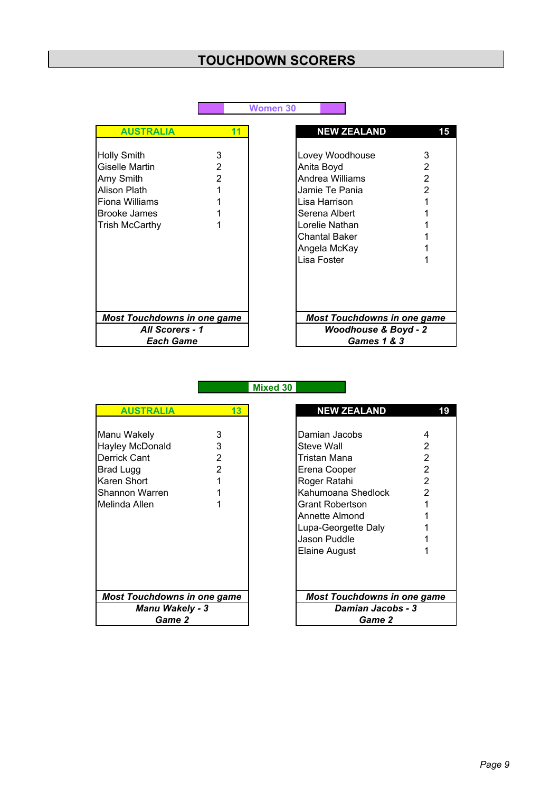|                                                                                                                                            |                          | <b>Women 30</b>                                                                                                                                                               |                  |
|--------------------------------------------------------------------------------------------------------------------------------------------|--------------------------|-------------------------------------------------------------------------------------------------------------------------------------------------------------------------------|------------------|
| <b>AUSTRALIA</b>                                                                                                                           | 11                       | <b>NEW ZEALAND</b>                                                                                                                                                            | 15               |
| <b>Holly Smith</b><br><b>Giselle Martin</b><br>Amy Smith<br>Alison Plath<br>Fiona Williams<br><b>Brooke James</b><br><b>Trish McCarthy</b> | 3<br>2<br>$\overline{2}$ | Lovey Woodhouse<br>Anita Boyd<br>Andrea Williams<br>Jamie Te Pania<br>Lisa Harrison<br>Serena Albert<br>Lorelie Nathan<br><b>Chantal Baker</b><br>Angela McKay<br>Lisa Foster | 3<br>2<br>2<br>2 |
| <b>Most Touchdowns in one game</b>                                                                                                         |                          | <b>Most Touchdowns in one game</b>                                                                                                                                            |                  |
| <b>All Scorers - 1</b>                                                                                                                     |                          | <b>Woodhouse &amp; Boyd - 2</b>                                                                                                                                               |                  |
| <b>Each Game</b>                                                                                                                           |                          | <b>Games 1 &amp; 3</b>                                                                                                                                                        |                  |

**Mixed 30**

| <b>AUSTRALIA</b>                                                                                                     | 13               | <b>NEW ZEALAND</b>                                                                                                                                                                                    |                       |
|----------------------------------------------------------------------------------------------------------------------|------------------|-------------------------------------------------------------------------------------------------------------------------------------------------------------------------------------------------------|-----------------------|
| Manu Wakely<br><b>Hayley McDonald</b><br>Derrick Cant<br>Brad Lugg<br>Karen Short<br>Shannon Warren<br>Melinda Allen | 3<br>3<br>2<br>2 | Damian Jacobs<br>Steve Wall<br>Tristan Mana<br>Erena Cooper<br>Roger Ratahi<br>Kahumoana Shedlock<br><b>Grant Robertson</b><br>Annette Almond<br>Lupa-Georgette Daly<br>Jason Puddle<br>Elaine August | 2<br>2<br>2<br>2<br>2 |
| <b>Most Touchdowns in one game</b>                                                                                   |                  | <b>Most Touchdowns in one game</b>                                                                                                                                                                    |                       |
| <b>Manu Wakely - 3</b>                                                                                               |                  | Damian Jacobs - 3                                                                                                                                                                                     |                       |
| <b>Game 2</b>                                                                                                        |                  | Game 2                                                                                                                                                                                                |                       |

| <b>AUSTRALIA</b>         | 13             | <b>NEW ZEALAND</b>                 | 19                |  |
|--------------------------|----------------|------------------------------------|-------------------|--|
|                          |                |                                    |                   |  |
| Wakely                   | 3              | Damian Jacobs                      | 4                 |  |
| y McDonald               | 3              | Steve Wall                         | 2                 |  |
| ะk Cant                  | 2              | Tristan Mana                       | 2                 |  |
| Lugg                     | $\overline{2}$ | Erena Cooper                       | $\overline{2}$    |  |
| າ Short                  |                | Roger Ratahi                       | $\overline{2}$    |  |
| non Warren               |                | Kahumoana Shedlock                 | $\overline{2}$    |  |
| da Allen                 |                | <b>Grant Robertson</b>             |                   |  |
|                          |                | Annette Almond                     |                   |  |
|                          |                | Lupa-Georgette Daly                |                   |  |
|                          |                | Jason Puddle                       |                   |  |
|                          |                | <b>Elaine August</b>               |                   |  |
|                          |                |                                    |                   |  |
|                          |                |                                    |                   |  |
| t Touchdowns in one game |                | <b>Most Touchdowns in one game</b> |                   |  |
| <b>Manu Wakely - 3</b>   |                |                                    | Damian Jacobs - 3 |  |
| Game 2<br>Game 2         |                |                                    |                   |  |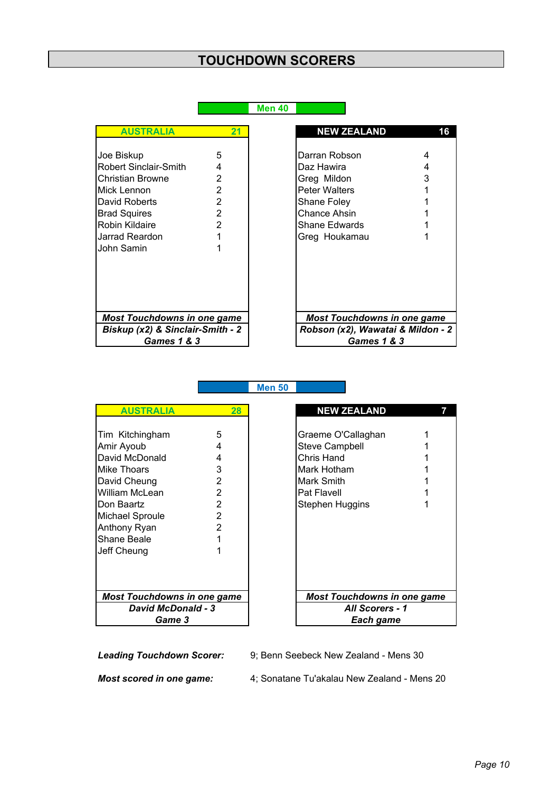**Men 40**

**Men 50**

| <b>AUSTRALIA</b>                   | 21             | <b>NEW ZEALAND</b>                 |
|------------------------------------|----------------|------------------------------------|
|                                    |                |                                    |
| Joe Biskup                         | 5              | Darran Robson                      |
| Robert Sinclair-Smith              | 4              | Daz Hawira                         |
| lChristian Browne                  | 2              | Greg Mildon                        |
| Mick Lennon                        | 2              | <b>Peter Walters</b>               |
| David Roberts                      | 2              | <b>Shane Foley</b>                 |
| <b>Brad Squires</b>                | $\overline{2}$ | Chance Ahsin                       |
| Robin Kildaire                     | $\overline{2}$ | Shane Edwards                      |
| Jarrad Reardon                     | 1              | Greg Houkamau                      |
| John Samin                         | 1              |                                    |
|                                    |                |                                    |
|                                    |                |                                    |
|                                    |                |                                    |
|                                    |                |                                    |
|                                    |                |                                    |
| <b>Most Touchdowns in one game</b> |                | <b>Most Touchdowns in one game</b> |
| Biskup (x2) & Sinclair-Smith - 2   |                | Robson (x2), Wawatai & Mildon -    |
| <b>Games 1 &amp; 3</b>             |                | <b>Games 1 &amp; 3</b>             |

| <b>AUSTRALIA</b>                 | 21             | <b>NEW ZEALAND</b>                 |   |
|----------------------------------|----------------|------------------------------------|---|
|                                  |                |                                    |   |
| oe Biskup                        | 5              | Darran Robson                      | 4 |
| obert Sinclair-Smith             | 4              | Daz Hawira                         | 4 |
| :hristian Browne                 | 2              | Greg Mildon                        | 3 |
| lick Lennon                      | $\overline{2}$ | <b>Peter Walters</b>               |   |
| avid Roberts                     | $\overline{2}$ | Shane Foley                        |   |
| <b>Irad Squires</b>              | 2              | <b>Chance Ahsin</b>                |   |
| lobin Kildaire≀                  | 2              | <b>Shane Edwards</b>               |   |
| arrad Reardon                    |                | Greg Houkamau                      |   |
| ohn Samin                        |                |                                    |   |
|                                  |                |                                    |   |
|                                  |                |                                    |   |
|                                  |                |                                    |   |
|                                  |                |                                    |   |
| Most Touchdowns in one game      |                | <b>Most Touchdowns in one game</b> |   |
| Biskup (x2) & Sinclair-Smith - 2 |                | Robson (x2), Wawatai & Mildon - 2  |   |
| <b>Games 1 &amp; 3</b>           |                | <b>Games 1 &amp; 3</b>             |   |
|                                  |                |                                    |   |

**AUSTRALIA 28 7** Tim Kitchingham 5 Amir Ayoub 4<br>David McDonald 4 David McDonald 4<br>Mike Thoars 3 Mike Thoars<br>
David Cheung
2 David Cheung 2<br>
William McLean 2 William McLean 2 Pat Flavell 1 Don Baartz Michael Sproule 2<br>Anthony Ryan 2 Anthony Ryan 2 Shane Beale 1<br>
Jeff Cheung 1 Jeff Cheung Game 3 *Most Touchdowns in one game Most Touchdowns in one game David McDonald - 3* 

| <b>NEW ZEALAND</b>                                                                                                       |             |  |  |  |
|--------------------------------------------------------------------------------------------------------------------------|-------------|--|--|--|
| Graeme O'Callaghan<br><b>Steve Campbell</b><br>Chris Hand<br>Mark Hotham<br>Mark Smith<br>Pat Flavell<br>Stephen Huggins | 1<br>1<br>1 |  |  |  |
| <b>Most Touchdowns in one game</b>                                                                                       |             |  |  |  |
| All Scorers - 1                                                                                                          |             |  |  |  |
| Each game                                                                                                                |             |  |  |  |

*Leading Touchdown Scorer:* 9; Benn Seebeck New Zealand - Mens 30

*Most scored in one game:* 4; Sonatane Tu'akalau New Zealand - Mens 20